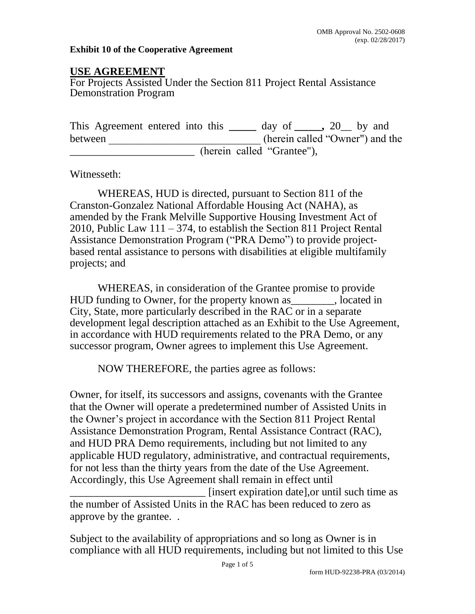## **Exhibit 10 of the Cooperative Agreement**

## **USE AGREEMENT**

For Projects Assisted Under the Section 811 Project Rental Assistance Demonstration Program

This Agreement entered into this **\_\_\_\_\_** day of **\_\_\_\_\_,** 20\_\_ by and between (herein called "Owner") and the (herein called "Grantee"),

Witnesseth:

WHEREAS, HUD is directed, pursuant to Section 811 of the Cranston-Gonzalez National Affordable Housing Act (NAHA), as amended by the Frank Melville Supportive Housing Investment Act of 2010, Public Law 111 – 374, to establish the Section 811 Project Rental Assistance Demonstration Program ("PRA Demo") to provide projectbased rental assistance to persons with disabilities at eligible multifamily projects; and

WHEREAS, in consideration of the Grantee promise to provide HUD funding to Owner, for the property known as\_\_\_\_\_\_\_\_, located in City, State, more particularly described in the RAC or in a separate development legal description attached as an Exhibit to the Use Agreement, in accordance with HUD requirements related to the PRA Demo, or any successor program, Owner agrees to implement this Use Agreement.

NOW THEREFORE, the parties agree as follows:

Owner, for itself, its successors and assigns, covenants with the Grantee that the Owner will operate a predetermined number of Assisted Units in the Owner's project in accordance with the Section 811 Project Rental Assistance Demonstration Program, Rental Assistance Contract (RAC), and HUD PRA Demo requirements, including but not limited to any applicable HUD regulatory, administrative, and contractual requirements, for not less than the thirty years from the date of the Use Agreement. Accordingly, this Use Agreement shall remain in effect until

\_\_\_\_\_\_\_\_\_\_\_\_\_\_\_\_\_\_\_\_\_\_\_\_\_ [insert expiration date],or until such time as the number of Assisted Units in the RAC has been reduced to zero as approve by the grantee. .

Subject to the availability of appropriations and so long as Owner is in compliance with all HUD requirements, including but not limited to this Use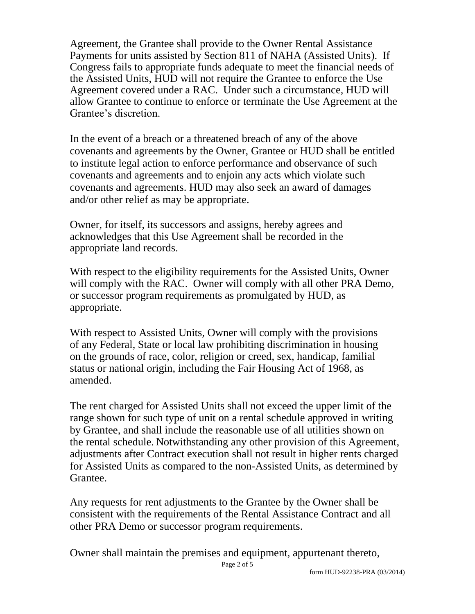Agreement, the Grantee shall provide to the Owner Rental Assistance Payments for units assisted by Section 811 of NAHA (Assisted Units). If Congress fails to appropriate funds adequate to meet the financial needs of the Assisted Units, HUD will not require the Grantee to enforce the Use Agreement covered under a RAC. Under such a circumstance, HUD will allow Grantee to continue to enforce or terminate the Use Agreement at the Grantee's discretion.

In the event of a breach or a threatened breach of any of the above covenants and agreements by the Owner, Grantee or HUD shall be entitled to institute legal action to enforce performance and observance of such covenants and agreements and to enjoin any acts which violate such covenants and agreements. HUD may also seek an award of damages and/or other relief as may be appropriate.

Owner, for itself, its successors and assigns, hereby agrees and acknowledges that this Use Agreement shall be recorded in the appropriate land records.

With respect to the eligibility requirements for the Assisted Units, Owner will comply with the RAC. Owner will comply with all other PRA Demo, or successor program requirements as promulgated by HUD, as appropriate.

With respect to Assisted Units, Owner will comply with the provisions of any Federal, State or local law prohibiting discrimination in housing on the grounds of race, color, religion or creed, sex, handicap, familial status or national origin, including the Fair Housing Act of 1968, as amended.

The rent charged for Assisted Units shall not exceed the upper limit of the range shown for such type of unit on a rental schedule approved in writing by Grantee, and shall include the reasonable use of all utilities shown on the rental schedule. Notwithstanding any other provision of this Agreement, adjustments after Contract execution shall not result in higher rents charged for Assisted Units as compared to the non-Assisted Units, as determined by Grantee.

Any requests for rent adjustments to the Grantee by the Owner shall be consistent with the requirements of the Rental Assistance Contract and all other PRA Demo or successor program requirements.

Owner shall maintain the premises and equipment, appurtenant thereto,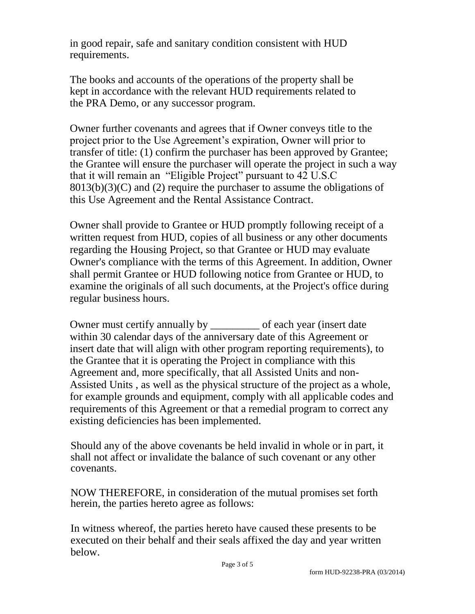in good repair, safe and sanitary condition consistent with HUD requirements.

The books and accounts of the operations of the property shall be kept in accordance with the relevant HUD requirements related to the PRA Demo, or any successor program.

Owner further covenants and agrees that if Owner conveys title to the project prior to the Use Agreement's expiration, Owner will prior to transfer of title: (1) confirm the purchaser has been approved by Grantee; the Grantee will ensure the purchaser will operate the project in such a way that it will remain an "Eligible Project" pursuant to 42 U.S.C  $8013(b)(3)(C)$  and (2) require the purchaser to assume the obligations of this Use Agreement and the Rental Assistance Contract.

Owner shall provide to Grantee or HUD promptly following receipt of a written request from HUD, copies of all business or any other documents regarding the Housing Project, so that Grantee or HUD may evaluate Owner's compliance with the terms of this Agreement. In addition, Owner shall permit Grantee or HUD following notice from Grantee or HUD, to examine the originals of all such documents, at the Project's office during regular business hours.

Owner must certify annually by of each year (insert date within 30 calendar days of the anniversary date of this Agreement or insert date that will align with other program reporting requirements), to the Grantee that it is operating the Project in compliance with this Agreement and, more specifically, that all Assisted Units and non-Assisted Units , as well as the physical structure of the project as a whole, for example grounds and equipment, comply with all applicable codes and requirements of this Agreement or that a remedial program to correct any existing deficiencies has been implemented.

Should any of the above covenants be held invalid in whole or in part, it shall not affect or invalidate the balance of such covenant or any other covenants.

NOW THEREFORE, in consideration of the mutual promises set forth herein, the parties hereto agree as follows:

In witness whereof, the parties hereto have caused these presents to be executed on their behalf and their seals affixed the day and year written below.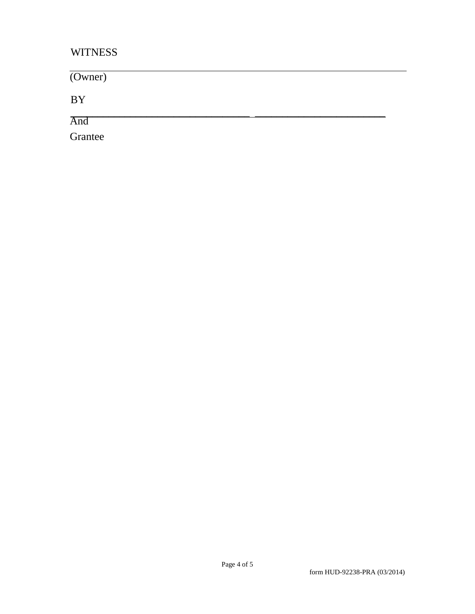## **WITNESS**

(Owner) BY \_\_\_\_\_\_\_\_\_\_\_\_\_\_\_\_\_\_\_\_\_\_\_\_\_\_\_\_\_\_\_\_\_ \_\_\_\_\_\_\_\_\_\_\_\_\_\_\_\_\_\_\_\_\_\_\_\_ And Grantee